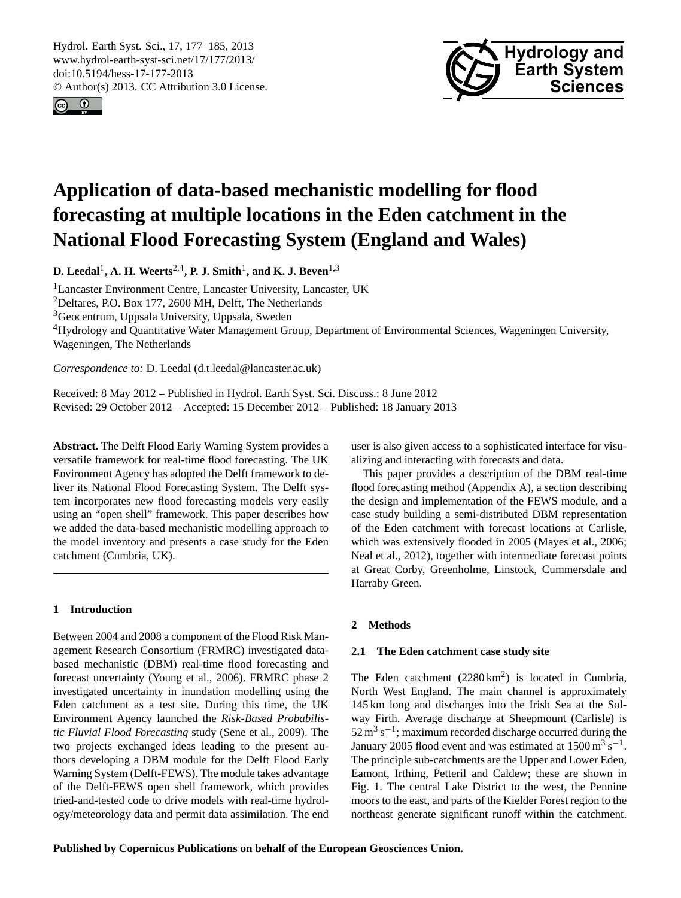<span id="page-0-1"></span>Hydrol. Earth Syst. Sci., 17, 177–185, 2013 www.hydrol-earth-syst-sci.net/17/177/2013/ doi:10.5194/hess-17-177-2013 © Author(s) 2013. CC Attribution 3.0 License.





# **Application of data-based mechanistic modelling for flood forecasting at multiple locations in the Eden catchment in the National Flood Forecasting System (England and Wales)**

**D. Leedal**<sup>1</sup> **, A. H. Weerts**2,4**, P. J. Smith**<sup>1</sup> **, and K. J. Beven**1,3

<sup>1</sup>Lancaster Environment Centre, Lancaster University, Lancaster, UK

<sup>2</sup>Deltares, P.O. Box 177, 2600 MH, Delft, The Netherlands

<sup>3</sup>Geocentrum, Uppsala University, Uppsala, Sweden

<sup>4</sup>Hydrology and Quantitative Water Management Group, Department of Environmental Sciences, Wageningen University, Wageningen, The Netherlands

*Correspondence to:* D. Leedal (d.t.leedal@lancaster.ac.uk)

Received: 8 May 2012 – Published in Hydrol. Earth Syst. Sci. Discuss.: 8 June 2012 Revised: 29 October 2012 – Accepted: 15 December 2012 – Published: 18 January 2013

**Abstract.** The Delft Flood Early Warning System provides a versatile framework for real-time flood forecasting. The UK Environment Agency has adopted the Delft framework to deliver its National Flood Forecasting System. The Delft system incorporates new flood forecasting models very easily using an "open shell" framework. This paper describes how we added the data-based mechanistic modelling approach to the model inventory and presents a case study for the Eden catchment (Cumbria, UK).

# <span id="page-0-0"></span>**1 Introduction**

Between 2004 and 2008 a component of the Flood Risk Management Research Consortium (FRMRC) investigated databased mechanistic (DBM) real-time flood forecasting and forecast uncertainty [\(Young et al.,](#page-8-0) [2006\)](#page-8-0). FRMRC phase 2 investigated uncertainty in inundation modelling using the Eden catchment as a test site. During this time, the UK Environment Agency launched the *Risk-Based Probabilistic Fluvial Flood Forecasting* study [\(Sene et al.,](#page-7-0) [2009\)](#page-7-0). The two projects exchanged ideas leading to the present authors developing a DBM module for the Delft Flood Early Warning System (Delft-FEWS). The module takes advantage of the Delft-FEWS open shell framework, which provides tried-and-tested code to drive models with real-time hydrology/meteorology data and permit data assimilation. The end user is also given access to a sophisticated interface for visualizing and interacting with forecasts and data.

This paper provides a description of the DBM real-time flood forecasting method (Appendix [A\)](#page-0-0), a section describing the design and implementation of the FEWS module, and a case study building a semi-distributed DBM representation of the Eden catchment with forecast locations at Carlisle, which was extensively flooded in 2005 [\(Mayes et al.,](#page-7-1) [2006;](#page-7-1) [Neal et al.,](#page-7-2) [2012\)](#page-7-2), together with intermediate forecast points at Great Corby, Greenholme, Linstock, Cummersdale and Harraby Green.

# <span id="page-0-2"></span>**2 Methods**

# **2.1 The Eden catchment case study site**

The Eden catchment  $(2280 \text{ km}^2)$  is located in Cumbria, North West England. The main channel is approximately 145 km long and discharges into the Irish Sea at the Solway Firth. Average discharge at Sheepmount (Carlisle) is  $52 \text{ m}^3 \text{ s}^{-1}$ ; maximum recorded discharge occurred during the January 2005 flood event and was estimated at  $1500 \,\mathrm{m^3\,s^{-1}}$ . The principle sub-catchments are the Upper and Lower Eden, Eamont, Irthing, Petteril and Caldew; these are shown in Fig. 1. The central Lake District to the west, the Pennine moors to the east, and parts of the Kielder Forest region to the northeast generate significant runoff within the catchment.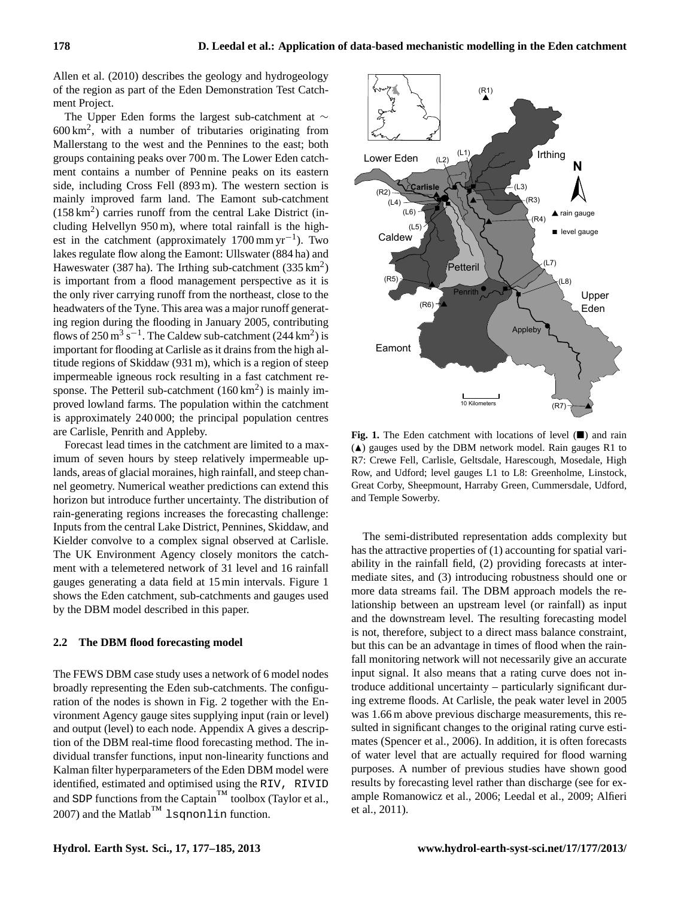[Allen et al.](#page-7-3) [\(2010\)](#page-7-3) describes the geology and hydrogeology of the region as part of the Eden Demonstration Test Catchment Project.

The Upper Eden forms the largest sub-catchment at ∼  $600 \text{ km}^2$ , with a number of tributaries originating from Mallerstang to the west and the Pennines to the east; both groups containing peaks over 700 m. The Lower Eden catchment contains a number of Pennine peaks on its eastern side, including Cross Fell (893 m). The western section is mainly improved farm land. The Eamont sub-catchment  $(158 \text{ km}^2)$  carries runoff from the central Lake District (including Helvellyn 950 m), where total rainfall is the highest in the catchment (approximately  $1700 \text{ mm yr}^{-1}$ ). Two lakes regulate flow along the Eamont: Ullswater (884 ha) and Haweswater (387 ha). The Irthing sub-catchment (335  $\text{km}^2$ ) is important from a flood management perspective as it is the only river carrying runoff from the northeast, close to the headwaters of the Tyne. This area was a major runoff generating region during the flooding in January 2005, contributing flows of  $250 \text{ m}^3 \text{ s}^{-1}$ . The Caldew sub-catchment (244 km<sup>2</sup>) is important for flooding at Carlisle as it drains from the high altitude regions of Skiddaw (931 m), which is a region of steep impermeable igneous rock resulting in a fast catchment response. The Petteril sub-catchment  $(160 \text{ km}^2)$  is mainly improved lowland farms. The population within the catchment is approximately 240 000; the principal population centres are Carlisle, Penrith and Appleby.

Forecast lead times in the catchment are limited to a maximum of seven hours by steep relatively impermeable uplands, areas of glacial moraines, high rainfall, and steep channel geometry. Numerical weather predictions can extend this horizon but introduce further uncertainty. The distribution of rain-generating regions increases the forecasting challenge: Inputs from the central Lake District, Pennines, Skiddaw, and Kielder convolve to a complex signal observed at Carlisle. The UK Environment Agency closely monitors the catchment with a telemetered network of 31 level and 16 rainfall gauges generating a data field at 15 min intervals. Figure 1 shows the Eden catchment, sub-catchments and gauges used by the DBM model described in this paper.

#### **2.2 The DBM flood forecasting model**

The FEWS DBM case study uses a network of 6 model nodes broadly representing the Eden sub-catchments. The configuration of the nodes is shown in Fig. 2 together with the Environment Agency gauge sites supplying input (rain or level) and output (level) to each node. Appendix [A](#page-0-0) gives a description of the DBM real-time flood forecasting method. The individual transfer functions, input non-linearity functions and Kalman filter hyperparameters of the Eden DBM model were identified, estimated and optimised using the RIV, RIVID and SDP functions from the Captain $M^M$  toolbox [\(Taylor et al.,](#page-7-4) [2007\)](#page-7-4) and the Matlab $^{TM}$  lsqnonlin function.



**Fig. 1.** The Eden catchment with locations of level  $(\blacksquare)$  and rain  $(A)$  gauges used by the DBM network model. Rain gauges R1 to R7: Crewe Fell, Carlisle, Geltsdale, Harescough, Mosedale, High Row, and Udford; level gauges L1 to L8: Greenholme, Linstock, Great Corby, Sheepmount, Harraby Green, Cummersdale, Udford, and Temple Sowerby.

The semi-distributed representation adds complexity but has the attractive properties of (1) accounting for spatial variability in the rainfall field, (2) providing forecasts at intermediate sites, and (3) introducing robustness should one or more data streams fail. The DBM approach models the relationship between an upstream level (or rainfall) as input and the downstream level. The resulting forecasting model is not, therefore, subject to a direct mass balance constraint, but this can be an advantage in times of flood when the rainfall monitoring network will not necessarily give an accurate input signal. It also means that a rating curve does not introduce additional uncertainty – particularly significant during extreme floods. At Carlisle, the peak water level in 2005 was 1.66 m above previous discharge measurements, this resulted in significant changes to the original rating curve estimates [\(Spencer et al.,](#page-7-5) [2006\)](#page-7-5). In addition, it is often forecasts of water level that are actually required for flood warning purposes. A number of previous studies have shown good results by forecasting level rather than discharge (see for example [Romanowicz et al.,](#page-7-6) [2006;](#page-7-6) [Leedal et al.,](#page-7-7) [2009;](#page-7-7) [Alfieri](#page-7-8) [et al.,](#page-7-8) [2011\)](#page-7-8).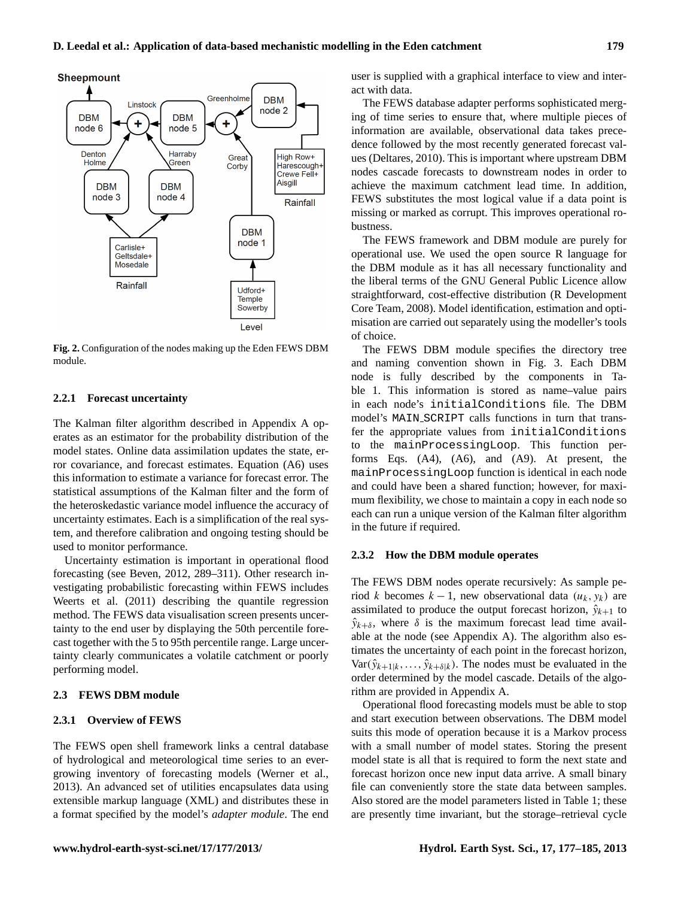

**Fig. 2.** Configuration of the nodes making up the Eden FEWS DBM module.

# **2.2.1 Forecast uncertainty**

The Kalman filter algorithm described in Appendix [A](#page-0-0) operates as an estimator for the probability distribution of the model states. Online data assimilation updates the state, error covariance, and forecast estimates. Equation [\(A6\)](#page-6-0) uses this information to estimate a variance for forecast error. The statistical assumptions of the Kalman filter and the form of the heteroskedastic variance model influence the accuracy of uncertainty estimates. Each is a simplification of the real system, and therefore calibration and ongoing testing should be used to monitor performance.

Uncertainty estimation is important in operational flood forecasting (see [Beven,](#page-7-9) [2012,](#page-7-9) 289–311). Other research investigating probabilistic forecasting within FEWS includes [Weerts et al.](#page-7-10) [\(2011\)](#page-7-10) describing the quantile regression method. The FEWS data visualisation screen presents uncertainty to the end user by displaying the 50th percentile forecast together with the 5 to 95th percentile range. Large uncertainty clearly communicates a volatile catchment or poorly performing model.

# **2.3 FEWS DBM module**

## **2.3.1 Overview of FEWS**

The FEWS open shell framework links a central database of hydrological and meteorological time series to an evergrowing inventory of forecasting models [\(Werner et al.,](#page-8-1) [2013\)](#page-8-1). An advanced set of utilities encapsulates data using extensible markup language (XML) and distributes these in a format specified by the model's *adapter module*. The end user is supplied with a graphical interface to view and interact with data.

The FEWS database adapter performs sophisticated merging of time series to ensure that, where multiple pieces of information are available, observational data takes precedence followed by the most recently generated forecast values [\(Deltares,](#page-7-11) [2010\)](#page-7-11). This is important where upstream DBM nodes cascade forecasts to downstream nodes in order to achieve the maximum catchment lead time. In addition, FEWS substitutes the most logical value if a data point is missing or marked as corrupt. This improves operational robustness.

The FEWS framework and DBM module are purely for operational use. We used the open source R language for the DBM module as it has all necessary functionality and the liberal terms of the GNU General Public Licence allow straightforward, cost-effective distribution [\(R Development](#page-7-12) [Core Team,](#page-7-12) [2008\)](#page-7-12). Model identification, estimation and optimisation are carried out separately using the modeller's tools of choice.

The FEWS DBM module specifies the directory tree and naming convention shown in Fig. 3. Each DBM node is fully described by the components in Table 1. This information is stored as name–value pairs in each node's initialConditions file. The DBM model's MAIN SCRIPT calls functions in turn that transfer the appropriate values from initialConditions to the mainProcessingLoop. This function performs Eqs. [\(A4\)](#page-6-1), [\(A6\)](#page-6-0), and [\(A9\)](#page-6-2). At present, the mainProcessingLoop function is identical in each node and could have been a shared function; however, for maximum flexibility, we chose to maintain a copy in each node so each can run a unique version of the Kalman filter algorithm in the future if required.

#### **2.3.2 How the DBM module operates**

The FEWS DBM nodes operate recursively: As sample period k becomes  $k - 1$ , new observational data  $(u_k, y_k)$  are assimilated to produce the output forecast horizon,  $\hat{y}_{k+1}$  to  $\hat{y}_{k+\delta}$ , where  $\delta$  is the maximum forecast lead time available at the node (see Appendix [A\)](#page-0-0). The algorithm also estimates the uncertainty of each point in the forecast horizon,  $Var(\hat{y}_{k+1|k},..., \hat{y}_{k+\delta|k})$ . The nodes must be evaluated in the order determined by the model cascade. Details of the algorithm are provided in Appendix [A.](#page-0-0)

Operational flood forecasting models must be able to stop and start execution between observations. The DBM model suits this mode of operation because it is a Markov process with a small number of model states. Storing the present model state is all that is required to form the next state and forecast horizon once new input data arrive. A small binary file can conveniently store the state data between samples. Also stored are the model parameters listed in Table 1; these are presently time invariant, but the storage–retrieval cycle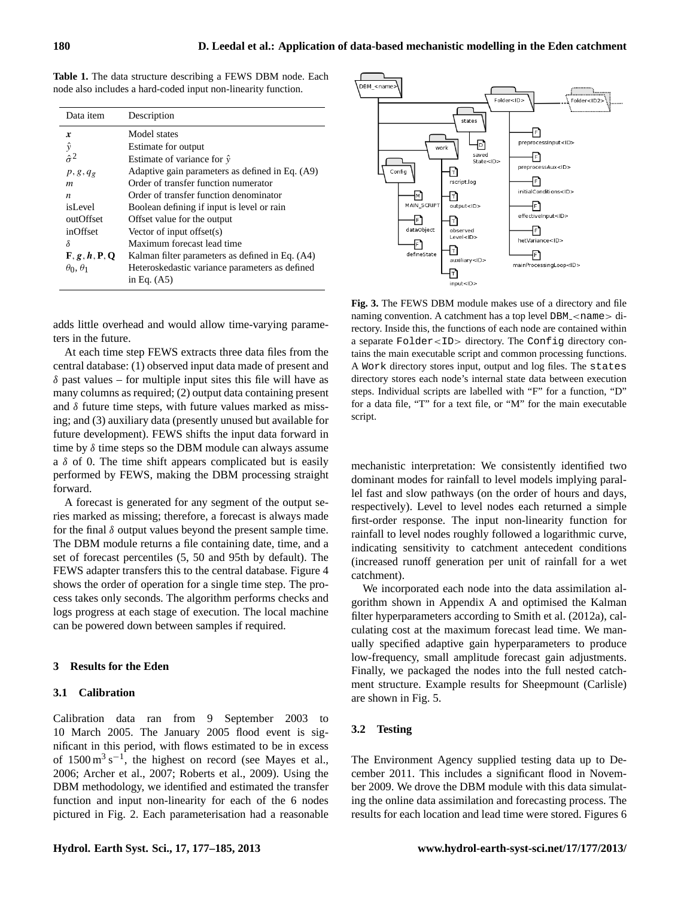**Table 1.** The data structure describing a FEWS DBM node. Each node also includes a hard-coded input non-linearity function.

| Data item                                                    | Description                                     |
|--------------------------------------------------------------|-------------------------------------------------|
| x                                                            | Model states                                    |
| $\hat{v}$                                                    | Estimate for output                             |
| $\hat{\sigma}^2$                                             | Estimate of variance for $\hat{v}$              |
| $p, g, q_g$                                                  | Adaptive gain parameters as defined in Eq. (A9) |
| m                                                            | Order of transfer function numerator            |
| n                                                            | Order of transfer function denominator          |
| isLevel                                                      | Boolean defining if input is level or rain      |
| outOffset                                                    | Offset value for the output                     |
| inOffset                                                     | Vector of input offset $(s)$                    |
| δ                                                            | Maximum forecast lead time                      |
| $\mathbf{F}, \mathbf{g}, \mathbf{h}, \mathbf{P}, \mathbf{Q}$ | Kalman filter parameters as defined in Eq. (A4) |
| $\theta_0$ , $\theta_1$                                      | Heteroskedastic variance parameters as defined  |
|                                                              | in Eq. $(A5)$                                   |

adds little overhead and would allow time-varying parameters in the future.

At each time step FEWS extracts three data files from the central database: (1) observed input data made of present and  $\delta$  past values – for multiple input sites this file will have as many columns as required; (2) output data containing present and  $\delta$  future time steps, with future values marked as missing; and (3) auxiliary data (presently unused but available for future development). FEWS shifts the input data forward in time by  $\delta$  time steps so the DBM module can always assume a  $\delta$  of 0. The time shift appears complicated but is easily performed by FEWS, making the DBM processing straight forward.

A forecast is generated for any segment of the output series marked as missing; therefore, a forecast is always made for the final  $\delta$  output values beyond the present sample time. The DBM module returns a file containing date, time, and a set of forecast percentiles (5, 50 and 95th by default). The FEWS adapter transfers this to the central database. Figure 4 shows the order of operation for a single time step. The process takes only seconds. The algorithm performs checks and logs progress at each stage of execution. The local machine can be powered down between samples if required.

#### **3 Results for the Eden**

## **3.1 Calibration**

Calibration data ran from 9 September 2003 to 10 March 2005. The January 2005 flood event is significant in this period, with flows estimated to be in excess of  $1500 \text{ m}^3 \text{ s}^{-1}$ , the highest on record (see [Mayes et al.,](#page-7-1) [2006;](#page-7-1) [Archer et al.,](#page-7-13) [2007;](#page-7-13) [Roberts et al.,](#page-7-14) [2009\)](#page-7-14). Using the DBM methodology, we identified and estimated the transfer function and input non-linearity for each of the 6 nodes pictured in Fig. 2. Each parameterisation had a reasonable



**Fig. 3.** The FEWS DBM module makes use of a directory and file naming convention. A catchment has a top level DBM\_<name> directory. Inside this, the functions of each node are contained within a separate Folder<ID> directory. The Config directory contains the main executable script and common processing functions. A Work directory stores input, output and log files. The states directory stores each node's internal state data between execution steps. Individual scripts are labelled with "F" for a function, "D" for a data file, "T" for a text file, or "M" for the main executable script.

mechanistic interpretation: We consistently identified two dominant modes for rainfall to level models implying parallel fast and slow pathways (on the order of hours and days, respectively). Level to level nodes each returned a simple first-order response. The input non-linearity function for rainfall to level nodes roughly followed a logarithmic curve, indicating sensitivity to catchment antecedent conditions (increased runoff generation per unit of rainfall for a wet catchment).

We incorporated each node into the data assimilation algorithm shown in Appendix [A](#page-0-0) and optimised the Kalman filter hyperparameters according to [Smith et al.](#page-7-15) [\(2012a\)](#page-7-15), calculating cost at the maximum forecast lead time. We manually specified adaptive gain hyperparameters to produce low-frequency, small amplitude forecast gain adjustments. Finally, we packaged the nodes into the full nested catchment structure. Example results for Sheepmount (Carlisle) are shown in Fig. 5.

# **3.2 Testing**

The Environment Agency supplied testing data up to December 2011. This includes a significant flood in November 2009. We drove the DBM module with this data simulating the online data assimilation and forecasting process. The results for each location and lead time were stored. Figures 6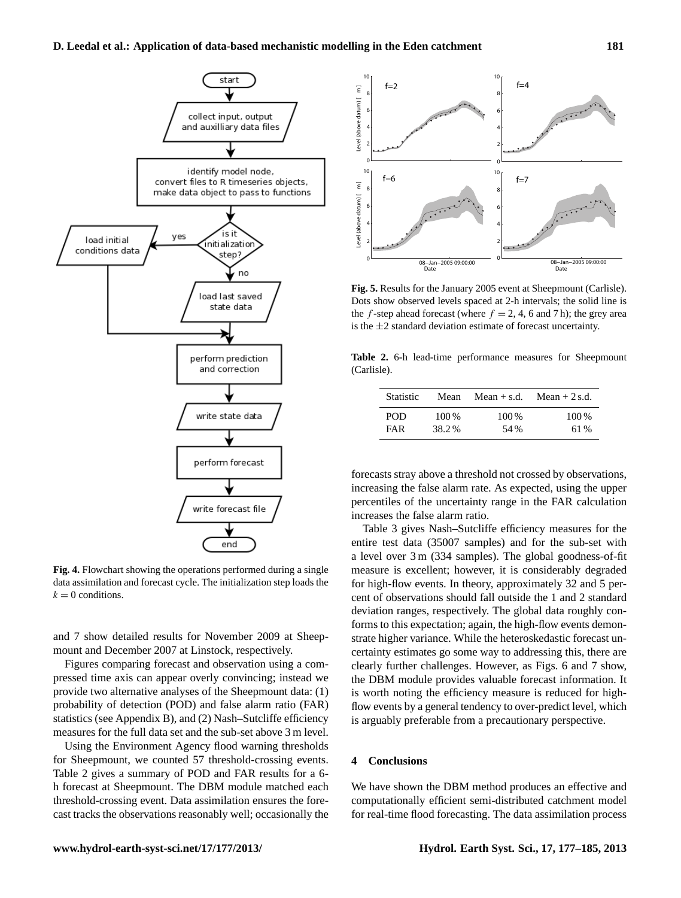

**Fig. 4.** Flowchart showing the operations performed during a single data assimilation and forecast cycle. The initialization step loads the  $k = 0$  conditions.

and 7 show detailed results for November 2009 at Sheepmount and December 2007 at Linstock, respectively.

Figures comparing forecast and observation using a compressed time axis can appear overly convincing; instead we provide two alternative analyses of the Sheepmount data: (1) probability of detection (POD) and false alarm ratio (FAR) statistics (see Appendix [B\)](#page-0-2), and (2) Nash–Sutcliffe efficiency measures for the full data set and the sub-set above 3 m level.

Using the Environment Agency flood warning thresholds for Sheepmount, we counted 57 threshold-crossing events. Table 2 gives a summary of POD and FAR results for a 6 h forecast at Sheepmount. The DBM module matched each threshold-crossing event. Data assimilation ensures the forecast tracks the observations reasonably well; occasionally the



**Fig. 5.** Results for the January 2005 event at Sheepmount (Carlisle). Dots show observed levels spaced at 2-h intervals; the solid line is the f-step ahead forecast (where  $f = 2, 4, 6$  and 7 h); the grey area is the  $\pm 2$  standard deviation estimate of forecast uncertainty.

**Table 2.** 6-h lead-time performance measures for Sheepmount (Carlisle).

| <b>Statistic</b> | Mean  | $Mean + s.d.$ | Mean $+2$ s.d. |
|------------------|-------|---------------|----------------|
| <b>POD</b>       | 100 % | 100 %         | $100\%$        |
| <b>FAR</b>       | 38.2% | 54 %          | 61 %           |

forecasts stray above a threshold not crossed by observations, increasing the false alarm rate. As expected, using the upper percentiles of the uncertainty range in the FAR calculation increases the false alarm ratio.

Table 3 gives Nash–Sutcliffe efficiency measures for the entire test data (35007 samples) and for the sub-set with a level over 3 m (334 samples). The global goodness-of-fit measure is excellent; however, it is considerably degraded for high-flow events. In theory, approximately 32 and 5 percent of observations should fall outside the 1 and 2 standard deviation ranges, respectively. The global data roughly conforms to this expectation; again, the high-flow events demonstrate higher variance. While the heteroskedastic forecast uncertainty estimates go some way to addressing this, there are clearly further challenges. However, as Figs. 6 and 7 show, the DBM module provides valuable forecast information. It is worth noting the efficiency measure is reduced for highflow events by a general tendency to over-predict level, which is arguably preferable from a precautionary perspective.

## **4 Conclusions**

We have shown the DBM method produces an effective and computationally efficient semi-distributed catchment model for real-time flood forecasting. The data assimilation process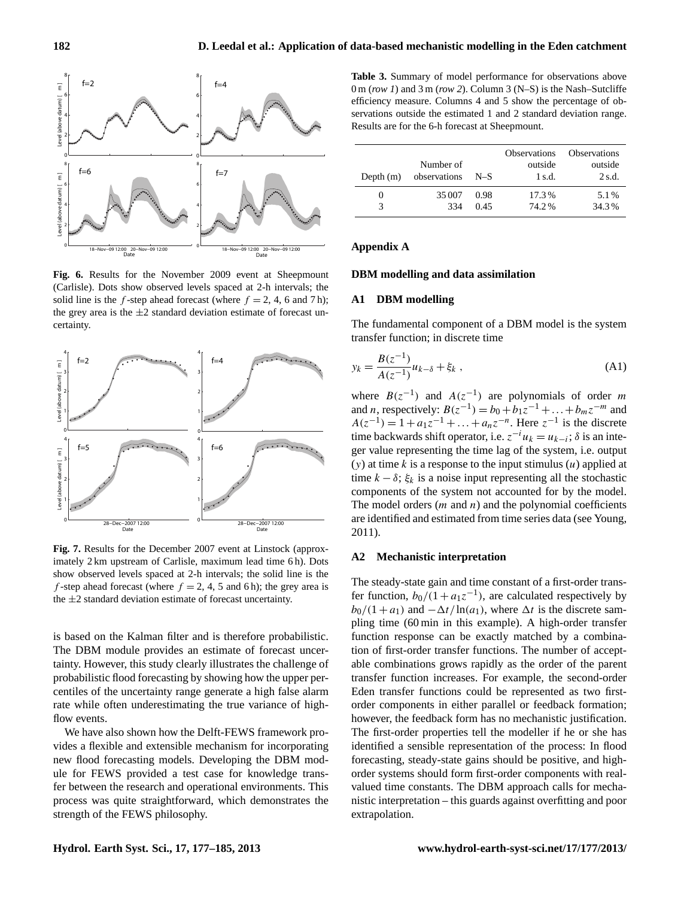

**Fig. 6.** Results for the November 2009 event at Sheepmount (Carlisle). Dots show observed levels spaced at 2-h intervals; the solid line is the f-step ahead forecast (where  $f = 2$ , 4, 6 and 7 h); the grey area is the  $\pm 2$  standard deviation estimate of forecast uncertainty.



**Fig. 7.** Results for the December 2007 event at Linstock (approximately 2 km upstream of Carlisle, maximum lead time 6 h). Dots show observed levels spaced at 2-h intervals; the solid line is the f-step ahead forecast (where  $f = 2, 4, 5$  and 6 h); the grey area is the  $\pm 2$  standard deviation estimate of forecast uncertainty.

is based on the Kalman filter and is therefore probabilistic. The DBM module provides an estimate of forecast uncertainty. However, this study clearly illustrates the challenge of probabilistic flood forecasting by showing how the upper percentiles of the uncertainty range generate a high false alarm rate while often underestimating the true variance of highflow events.

We have also shown how the Delft-FEWS framework provides a flexible and extensible mechanism for incorporating new flood forecasting models. Developing the DBM module for FEWS provided a test case for knowledge transfer between the research and operational environments. This process was quite straightforward, which demonstrates the strength of the FEWS philosophy.

**Table 3.** Summary of model performance for observations above 0 m (*row 1*) and 3 m (*row 2*). Column 3 (N–S) is the Nash–Sutcliffe efficiency measure. Columns 4 and 5 show the percentage of observations outside the estimated 1 and 2 standard deviation range. Results are for the 6-h forecast at Sheepmount.

| Depth $(m)$ | Number of<br>observations | $N-S$ | <b>Observations</b><br>outside<br>$1$ s.d. | <b>Observations</b><br>outside<br>$2$ s.d. |
|-------------|---------------------------|-------|--------------------------------------------|--------------------------------------------|
| 3           | 35 007                    | 0.98  | 17.3%                                      | 5.1%                                       |
|             | 334                       | 0.45  | 74.2%                                      | 34.3%                                      |

# **Appendix A**

# **DBM modelling and data assimilation**

## **A1 DBM modelling**

<span id="page-5-0"></span>The fundamental component of a DBM model is the system transfer function; in discrete time

$$
y_k = \frac{B(z^{-1})}{A(z^{-1})} u_{k-\delta} + \xi_k ,
$$
 (A1)

where  $B(z^{-1})$  and  $A(z^{-1})$  are polynomials of order m and *n*, respectively:  $B(z^{-1}) = b_0 + b_1 z^{-1} + ... + b_m z^{-m}$  and  $A(z^{-1}) = 1 + a_1 z^{-1} + \dots + a_n z^{-n}$ . Here  $z^{-1}$  is the discrete time backwards shift operator, i.e.  $z^{-i}u_k = u_{k-i}$ ;  $\delta$  is an integer value representing the time lag of the system, i.e. output  $(y)$  at time k is a response to the input stimulus  $(u)$  applied at time  $k - \delta$ ;  $\xi_k$  is a noise input representing all the stochastic components of the system not accounted for by the model. The model orders  $(m \text{ and } n)$  and the polynomial coefficients are identified and estimated from time series data (see [Young,](#page-8-2) [2011\)](#page-8-2).

# **A2 Mechanistic interpretation**

The steady-state gain and time constant of a first-order transfer function,  $b_0/(1 + a_1 z^{-1})$ , are calculated respectively by  $b_0/(1 + a_1)$  and  $-\Delta t/\ln(a_1)$ , where  $\Delta t$  is the discrete sampling time (60 min in this example). A high-order transfer function response can be exactly matched by a combination of first-order transfer functions. The number of acceptable combinations grows rapidly as the order of the parent transfer function increases. For example, the second-order Eden transfer functions could be represented as two firstorder components in either parallel or feedback formation; however, the feedback form has no mechanistic justification. The first-order properties tell the modeller if he or she has identified a sensible representation of the process: In flood forecasting, steady-state gains should be positive, and highorder systems should form first-order components with realvalued time constants. The DBM approach calls for mechanistic interpretation – this guards against overfitting and poor extrapolation.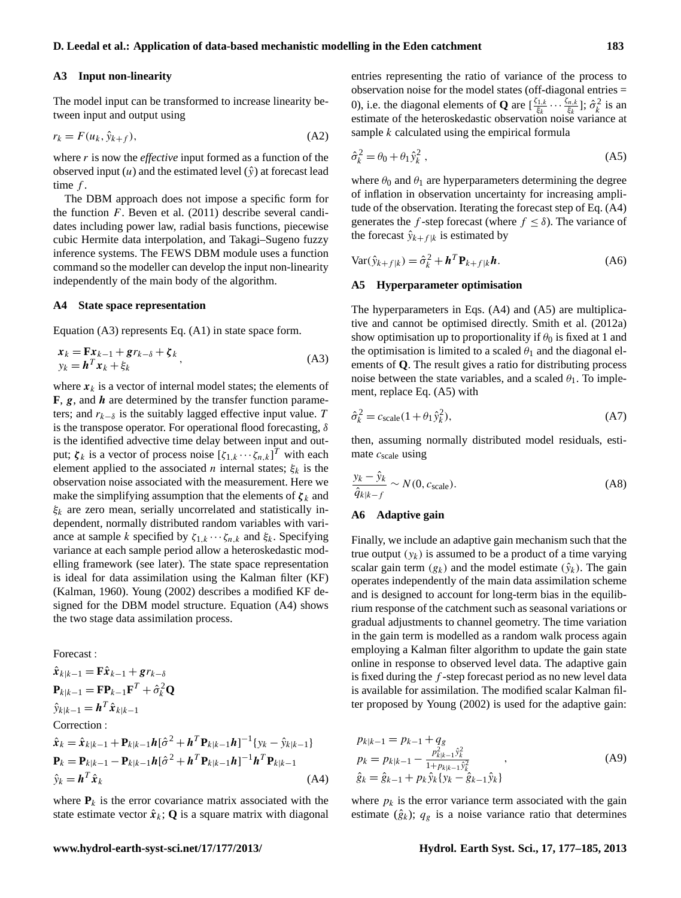## **A3 Input non-linearity**

The model input can be transformed to increase linearity between input and output using

$$
r_k = F(u_k, \hat{y}_{k+f}),\tag{A2}
$$

where r is now the *effective* input formed as a function of the observed input  $(u)$  and the estimated level  $(\hat{y})$  at forecast lead time  $f$ .

The DBM approach does not impose a specific form for the function  $F$ . [Beven et al.](#page-7-16) [\(2011\)](#page-7-16) describe several candidates including power law, radial basis functions, piecewise cubic Hermite data interpolation, and Takagi–Sugeno fuzzy inference systems. The FEWS DBM module uses a function command so the modeller can develop the input non-linearity independently of the main body of the algorithm.

### **A4 State space representation**

Equation [\(A3\)](#page-6-4) represents Eq. [\(A1\)](#page-5-0) in state space form.

$$
\begin{aligned} \n\mathbf{x}_k &= \mathbf{F}\mathbf{x}_{k-1} + \mathbf{g}r_{k-\delta} + \zeta_k \\ \ny_k &= \mathbf{h}^T \mathbf{x}_k + \xi_k \tag{A3} \n\end{aligned}
$$

where  $x_k$  is a vector of internal model states; the elements of  $\bf{F}, \bf{g}$ , and  $\bf{h}$  are determined by the transfer function parameters; and  $r_{k-\delta}$  is the suitably lagged effective input value. T is the transpose operator. For operational flood forecasting,  $\delta$ is the identified advective time delay between input and output;  $\zeta_k$  is a vector of process noise  $[\zeta_{1,k} \cdots \zeta_{n,k}]^T$  with each element applied to the associated *n* internal states;  $\xi_k$  is the observation noise associated with the measurement. Here we make the simplifying assumption that the elements of  $\zeta_k$  and  $\xi_k$  are zero mean, serially uncorrelated and statistically independent, normally distributed random variables with variance at sample k specified by  $\zeta_{1,k} \cdots \zeta_{n,k}$  and  $\xi_k$ . Specifying variance at each sample period allow a heteroskedastic modelling framework (see later). The state space representation is ideal for data assimilation using the Kalman filter (KF) [\(Kalman,](#page-7-17) [1960\)](#page-7-17). [Young](#page-8-3) [\(2002\)](#page-8-3) describes a modified KF designed for the DBM model structure. Equation [\(A4\)](#page-6-1) shows the two stage data assimilation process.

<span id="page-6-1"></span>Forecast :

$$
\hat{\mathbf{x}}_{k|k-1} = \mathbf{F}\hat{\mathbf{x}}_{k-1} + \mathbf{g}r_{k-1} \n\mathbf{P}_{k|k-1} = \mathbf{F}\mathbf{P}_{k-1}\mathbf{F}^T + \hat{\sigma}_k^2 \mathbf{Q} \n\hat{y}_{k|k-1} = \mathbf{h}^T \hat{\mathbf{x}}_{k|k-1} \n\text{Correction : \n\hat{\mathbf{x}}_k = \hat{\mathbf{x}}_{k|k-1} + \mathbf{P}_{k|k-1}\mathbf{h}[\hat{\sigma}^2 + \mathbf{h}^T \mathbf{P}_{k|k-1}\mathbf{h}]^{-1} \{y_k - \hat{y}_{k|k-1}\} \n\mathbf{P}_k = \mathbf{P}_{k|k-1} - \mathbf{P}_{k|k-1}\mathbf{h}[\hat{\sigma}^2 + \mathbf{h}^T \mathbf{P}_{k|k-1}\mathbf{h}]^{-1} \mathbf{h}^T \mathbf{P}_{k|k-1} \n\hat{y}_k = \mathbf{h}^T \hat{\mathbf{x}}_k
$$
\n(A4)

where  $P_k$  is the error covariance matrix associated with the state estimate vector  $\hat{x}_k$ ; **Q** is a square matrix with diagonal entries representing the ratio of variance of the process to observation noise for the model states (off-diagonal entries = 0), i.e. the diagonal elements of **Q** are  $\left[\frac{\zeta_{1,k}}{\zeta_{k}}\right]$  $\frac{\xi_{1,k}}{\xi_k}\cdots\frac{\xi_{n,k}}{\xi_k}$  $\frac{\delta n,k}{\xi_k}$ ];  $\hat{\sigma}_k^2$  is an estimate of the heteroskedastic observation noise variance at sample k calculated using the empirical formula

<span id="page-6-3"></span>
$$
\hat{\sigma}_k^2 = \theta_0 + \theta_1 \hat{y}_k^2 \,, \tag{A5}
$$

where  $\theta_0$  and  $\theta_1$  are hyperparameters determining the degree of inflation in observation uncertainty for increasing amplitude of the observation. Iterating the forecast step of Eq. [\(A4\)](#page-6-1) generates the f-step forecast (where  $f \leq \delta$ ). The variance of the forecast  $\hat{y}_{k+f|k}$  is estimated by

<span id="page-6-0"></span>
$$
\text{Var}(\hat{y}_{k+f|k}) = \hat{\sigma}_k^2 + \boldsymbol{h}^T \mathbf{P}_{k+f|k} \boldsymbol{h}.
$$
 (A6)

#### **A5 Hyperparameter optimisation**

<span id="page-6-4"></span>The hyperparameters in Eqs. [\(A4\)](#page-6-1) and [\(A5\)](#page-6-3) are multiplicative and cannot be optimised directly. [Smith et al.](#page-7-15) [\(2012a\)](#page-7-15) show optimisation up to proportionality if  $\theta_0$  is fixed at 1 and the optimisation is limited to a scaled  $\theta_1$  and the diagonal elements of **Q**. The result gives a ratio for distributing process noise between the state variables, and a scaled  $\theta_1$ . To implement, replace Eq. [\(A5\)](#page-6-3) with

$$
\hat{\sigma}_k^2 = c_{\text{scale}} (1 + \theta_1 \hat{y}_k^2),\tag{A7}
$$

then, assuming normally distributed model residuals, estimate  $c_{scale}$  using

$$
\frac{y_k - \hat{y}_k}{\hat{q}_{k|k-f}} \sim N(0, c_{\text{scale}}). \tag{A8}
$$

# **A6 Adaptive gain**

Finally, we include an adaptive gain mechanism such that the true output  $(y_k)$  is assumed to be a product of a time varying scalar gain term  $(g_k)$  and the model estimate  $(\hat{y}_k)$ . The gain operates independently of the main data assimilation scheme and is designed to account for long-term bias in the equilibrium response of the catchment such as seasonal variations or gradual adjustments to channel geometry. The time variation in the gain term is modelled as a random walk process again employing a Kalman filter algorithm to update the gain state online in response to observed level data. The adaptive gain is fixed during the f -step forecast period as no new level data is available for assimilation. The modified scalar Kalman filter proposed by [Young](#page-8-3) [\(2002\)](#page-8-3) is used for the adaptive gain:

<span id="page-6-2"></span>
$$
p_{k|k-1} = p_{k-1} + q_g
$$
  
\n
$$
p_k = p_{k|k-1} - \frac{p_{k|k-1}^2 \hat{y}_k^2}{1 + p_{k|k-1} \hat{y}_k^2},
$$
  
\n
$$
\hat{g}_k = \hat{g}_{k-1} + p_k \hat{y}_k \{y_k - \hat{g}_{k-1} \hat{y}_k\}
$$
\n(A9)

where  $p_k$  is the error variance term associated with the gain estimate  $(\hat{g}_k)$ ;  $q_g$  is a noise variance ratio that determines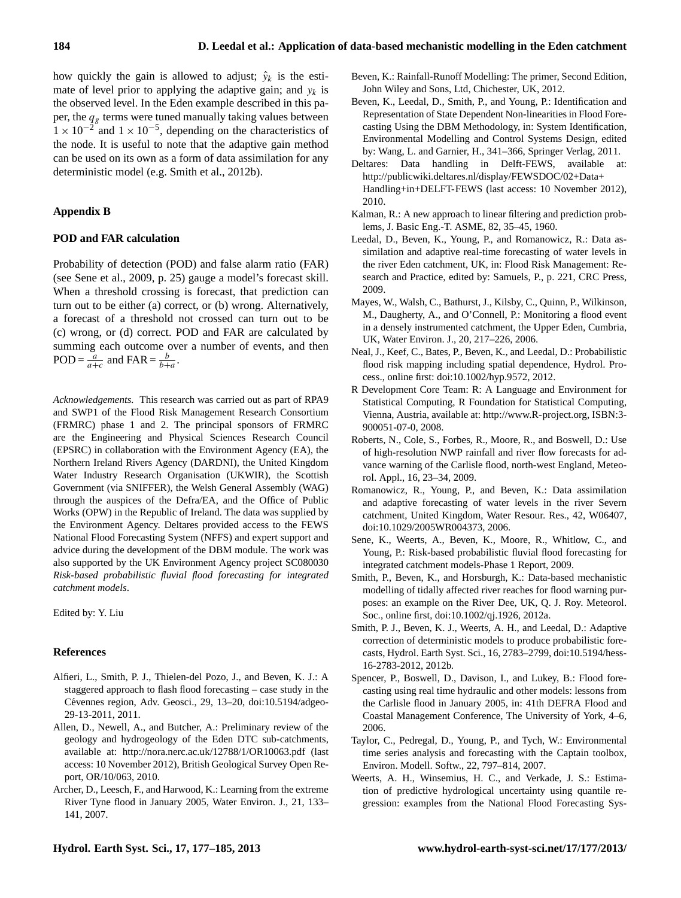how quickly the gain is allowed to adjust;  $\hat{y}_k$  is the estimate of level prior to applying the adaptive gain; and  $y_k$  is the observed level. In the Eden example described in this paper, the  $q_g$  terms were tuned manually taking values between  $1 \times 10^{-2}$  and  $1 \times 10^{-5}$ , depending on the characteristics of the node. It is useful to note that the adaptive gain method can be used on its own as a form of data assimilation for any deterministic model (e.g. [Smith et al.,](#page-7-18) [2012b\)](#page-7-18).

#### **Appendix B**

#### **POD and FAR calculation**

Probability of detection (POD) and false alarm ratio (FAR) (see [Sene et al.,](#page-7-0) [2009,](#page-7-0) p. 25) gauge a model's forecast skill. When a threshold crossing is forecast, that prediction can turn out to be either (a) correct, or (b) wrong. Alternatively, a forecast of a threshold not crossed can turn out to be (c) wrong, or (d) correct. POD and FAR are calculated by summing each outcome over a number of events, and then POD =  $\frac{a}{a+c}$  and FAR =  $\frac{b}{b+a}$ .

*Acknowledgements.* This research was carried out as part of RPA9 and SWP1 of the Flood Risk Management Research Consortium (FRMRC) phase 1 and 2. The principal sponsors of FRMRC are the Engineering and Physical Sciences Research Council (EPSRC) in collaboration with the Environment Agency (EA), the Northern Ireland Rivers Agency (DARDNI), the United Kingdom Water Industry Research Organisation (UKWIR), the Scottish Government (via SNIFFER), the Welsh General Assembly (WAG) through the auspices of the Defra/EA, and the Office of Public Works (OPW) in the Republic of Ireland. The data was supplied by the Environment Agency. Deltares provided access to the FEWS National Flood Forecasting System (NFFS) and expert support and advice during the development of the DBM module. The work was also supported by the UK Environment Agency project SC080030 *Risk-based probabilistic fluvial flood forecasting for integrated catchment models*.

Edited by: Y. Liu

# **References**

- <span id="page-7-8"></span>Alfieri, L., Smith, P. J., Thielen-del Pozo, J., and Beven, K. J.: A staggered approach to flash flood forecasting – case study in the Cévennes region, Adv. Geosci., 29, 13-20, [doi:10.5194/adgeo-](http://dx.doi.org/10.5194/adgeo-29-13-2011)[29-13-2011,](http://dx.doi.org/10.5194/adgeo-29-13-2011) 2011.
- <span id="page-7-3"></span>Allen, D., Newell, A., and Butcher, A.: Preliminary review of the geology and hydrogeology of the Eden DTC sub-catchments, available at: <http://nora.nerc.ac.uk/12788/1/OR10063.pdf> (last access: 10 November 2012), British Geological Survey Open Report, OR/10/063, 2010.
- <span id="page-7-13"></span>Archer, D., Leesch, F., and Harwood, K.: Learning from the extreme River Tyne flood in January 2005, Water Environ. J., 21, 133– 141, 2007.
- <span id="page-7-9"></span>Beven, K.: Rainfall-Runoff Modelling: The primer, Second Edition, John Wiley and Sons, Ltd, Chichester, UK, 2012.
- <span id="page-7-16"></span>Beven, K., Leedal, D., Smith, P., and Young, P.: Identification and Representation of State Dependent Non-linearities in Flood Forecasting Using the DBM Methodology, in: System Identification, Environmental Modelling and Control Systems Design, edited by: Wang, L. and Garnier, H., 341–366, Springer Verlag, 2011.
- <span id="page-7-11"></span>Deltares: Data handling in Delft-FEWS, available at: [http://publicwiki.deltares.nl/display/FEWSDOC/02+Data+](http://publicwiki.deltares.nl/display/FEWSDOC/02+Data+Handling+in+DELFT-FEWS) [Handling+in+DELFT-FEWS](http://publicwiki.deltares.nl/display/FEWSDOC/02+Data+Handling+in+DELFT-FEWS) (last access: 10 November 2012), 2010.
- <span id="page-7-17"></span>Kalman, R.: A new approach to linear filtering and prediction problems, J. Basic Eng.-T. ASME, 82, 35–45, 1960.
- <span id="page-7-7"></span>Leedal, D., Beven, K., Young, P., and Romanowicz, R.: Data assimilation and adaptive real-time forecasting of water levels in the river Eden catchment, UK, in: Flood Risk Management: Research and Practice, edited by: Samuels, P., p. 221, CRC Press, 2009.
- <span id="page-7-1"></span>Mayes, W., Walsh, C., Bathurst, J., Kilsby, C., Quinn, P., Wilkinson, M., Daugherty, A., and O'Connell, P.: Monitoring a flood event in a densely instrumented catchment, the Upper Eden, Cumbria, UK, Water Environ. J., 20, 217–226, 2006.
- <span id="page-7-2"></span>Neal, J., Keef, C., Bates, P., Beven, K., and Leedal, D.: Probabilistic flood risk mapping including spatial dependence, Hydrol. Process., online first: [doi:10.1002/hyp.9572,](http://dx.doi.org/10.1002/hyp.9572) 2012.
- <span id="page-7-12"></span>R Development Core Team: R: A Language and Environment for Statistical Computing, R Foundation for Statistical Computing, Vienna, Austria, available at: [http://www.R-project.org,](http://www.R-project.org) ISBN:3- 900051-07-0, 2008.
- <span id="page-7-14"></span>Roberts, N., Cole, S., Forbes, R., Moore, R., and Boswell, D.: Use of high-resolution NWP rainfall and river flow forecasts for advance warning of the Carlisle flood, north-west England, Meteorol. Appl., 16, 23–34, 2009.
- <span id="page-7-6"></span>Romanowicz, R., Young, P., and Beven, K.: Data assimilation and adaptive forecasting of water levels in the river Severn catchment, United Kingdom, Water Resour. Res., 42, W06407, [doi:10.1029/2005WR004373,](http://dx.doi.org/10.1029/2005WR004373) 2006.
- <span id="page-7-0"></span>Sene, K., Weerts, A., Beven, K., Moore, R., Whitlow, C., and Young, P.: Risk-based probabilistic fluvial flood forecasting for integrated catchment models-Phase 1 Report, 2009.
- <span id="page-7-15"></span>Smith, P., Beven, K., and Horsburgh, K.: Data-based mechanistic modelling of tidally affected river reaches for flood warning purposes: an example on the River Dee, UK, Q. J. Roy. Meteorol. Soc., online first, [doi:10.1002/qj.1926,](http://dx.doi.org/10.1002/qj.1926) 2012a.
- <span id="page-7-18"></span>Smith, P. J., Beven, K. J., Weerts, A. H., and Leedal, D.: Adaptive correction of deterministic models to produce probabilistic forecasts, Hydrol. Earth Syst. Sci., 16, 2783–2799, [doi:10.5194/hess-](http://dx.doi.org/10.5194/hess-16-2783-2012)[16-2783-2012,](http://dx.doi.org/10.5194/hess-16-2783-2012) 2012b.
- <span id="page-7-5"></span>Spencer, P., Boswell, D., Davison, I., and Lukey, B.: Flood forecasting using real time hydraulic and other models: lessons from the Carlisle flood in January 2005, in: 41th DEFRA Flood and Coastal Management Conference, The University of York, 4–6, 2006.
- <span id="page-7-4"></span>Taylor, C., Pedregal, D., Young, P., and Tych, W.: Environmental time series analysis and forecasting with the Captain toolbox, Environ. Modell. Softw., 22, 797–814, 2007.
- <span id="page-7-10"></span>Weerts, A. H., Winsemius, H. C., and Verkade, J. S.: Estimation of predictive hydrological uncertainty using quantile regression: examples from the National Flood Forecasting Sys-